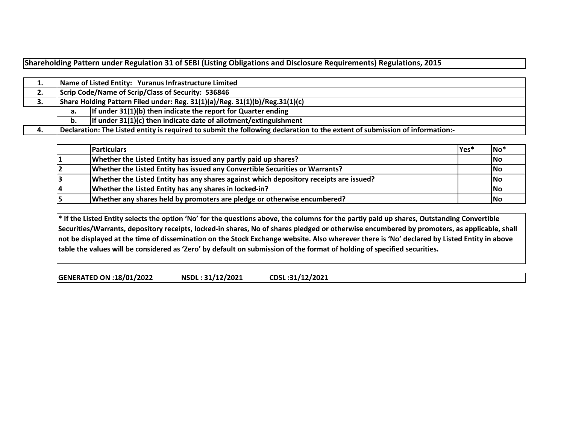**Shareholding Pattern under Regulation 31 of SEBI (Listing Obligations and Disclosure Requirements) Regulations, 2015**

| τ.   |                                                                          | Name of Listed Entity: Yuranus Infrastructure Limited                                                                       |  |  |  |  |  |  |  |  |  |  |  |
|------|--------------------------------------------------------------------------|-----------------------------------------------------------------------------------------------------------------------------|--|--|--|--|--|--|--|--|--|--|--|
| 2.   |                                                                          | Scrip Code/Name of Scrip/Class of Security: 536846                                                                          |  |  |  |  |  |  |  |  |  |  |  |
| З.   |                                                                          | Share Holding Pattern Filed under: Reg. 31(1)(a)/Reg. 31(1)(b)/Reg.31(1)(c)                                                 |  |  |  |  |  |  |  |  |  |  |  |
|      | If under 31(1)(b) then indicate the report for Quarter ending<br>а.      |                                                                                                                             |  |  |  |  |  |  |  |  |  |  |  |
|      | If under $31(1)(c)$ then indicate date of allotment/extinguishment<br>b. |                                                                                                                             |  |  |  |  |  |  |  |  |  |  |  |
| - 4. |                                                                          | Declaration: The Listed entity is required to submit the following declaration to the extent of submission of information:- |  |  |  |  |  |  |  |  |  |  |  |

| <b>Particulars</b>                                                                     | lYes* | $\overline{\phantom{a}}$ No <sup>*</sup> |
|----------------------------------------------------------------------------------------|-------|------------------------------------------|
| Whether the Listed Entity has issued any partly paid up shares?                        |       | No                                       |
| Whether the Listed Entity has issued any Convertible Securities or Warrants?           |       | <b>INo</b>                               |
| Whether the Listed Entity has any shares against which depository receipts are issued? |       | <b>INo</b>                               |
| Whether the Listed Entity has any shares in locked-in?                                 |       | No                                       |
| Whether any shares held by promoters are pledge or otherwise encumbered?               |       | No                                       |

\* If the Listed Entity selects the option 'No' for the questions above, the columns for the partly paid up shares, Outstanding Convertible Securities/Warrants, depository receipts, locked-in shares, No of shares pledged or otherwise encumbered by promoters, as applicable, shall not be displayed at the time of dissemination on the Stock Exchange website. Also wherever there is 'No' declared by Listed Entity in above table the values will be considered as 'Zero' by default on submission of the format of holding of specified securities.

**GENERATED ON:18/01/2022 NSDL : 31/12/2021 CDSL :31/12/2021**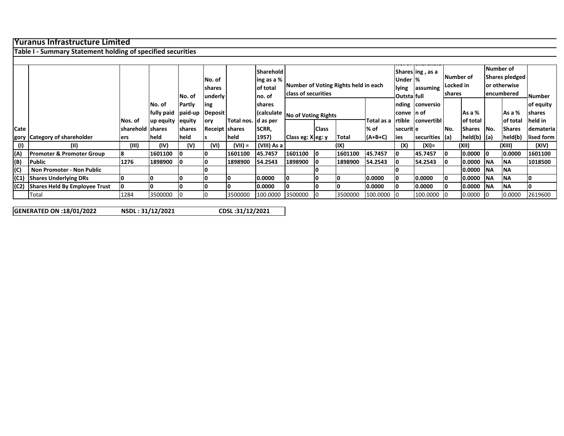## **Yuranus Infrastructure Limited**

**Table I ‐ Summary Statement holding of specified securities**

|      |                                      |                  |                      |               |                |                      | Sharehold     |                                  |              |                                      |            |                    | Shares ling, as a |           |                                                           | Number of      |               |                |
|------|--------------------------------------|------------------|----------------------|---------------|----------------|----------------------|---------------|----------------------------------|--------------|--------------------------------------|------------|--------------------|-------------------|-----------|-----------------------------------------------------------|----------------|---------------|----------------|
|      |                                      |                  |                      |               | No. of         |                      | ling as a %   |                                  |              |                                      |            | Under  %           |                   | Number of |                                                           | Shares pledged |               |                |
|      |                                      |                  |                      |               | shares         |                      | of total      |                                  |              | Number of Voting Rights held in each |            | lying              | assuming          | Locked in |                                                           | or otherwise   |               |                |
|      |                                      |                  |                      | No. of        | underly        |                      | Ino. of       | class of securities              |              |                                      |            | <b>Outstalfull</b> |                   | shares    |                                                           |                | encumbered    | _Number_       |
|      |                                      |                  | No. of               | Partly        | ing            |                      | <b>shares</b> |                                  |              |                                      |            |                    | nding conversio   |           |                                                           |                |               | of equity      |
|      |                                      |                  | fully paid   paid-up |               | Deposit        |                      |               | (calculate   No of Voting Rights |              |                                      |            | Iconve In of       |                   |           | As a %                                                    |                | As a %        | <b>Ishares</b> |
|      |                                      | Nos. of          | up equity            | <b>equity</b> | ory            | Total nos. Id as per |               |                                  |              |                                      | Total as a | rtible             | convertibl        |           | of total                                                  |                | lof total     | held in        |
| Cate |                                      | sharehold shares |                      | shares        | Receipt shares |                      | SCRR,         |                                  | <b>Class</b> |                                      | % of       | securit e          |                   | No.       | <b>Shares</b>                                             | No.            | <b>Shares</b> | demateria      |
|      | gory Category of shareholder         | lers             | held                 | held          |                | held                 | 1957)         | Class eg: X eg: y                |              | Total                                | $(A+B+C)$  | lies               | securities $(a)$  |           | $\left  \text{held}(b) \right $ $\left  \text{a} \right $ |                | held(b)       | lised form     |
| (1)  | (II)                                 | (III)            | (IV)                 | (V)           | (VI)           | $(VII) =$            | (VIII) As a   |                                  |              | (IX)                                 |            | (X)                | (XI)=             |           | (XII)                                                     |                | (XIII)        | (XIV)          |
| (A)  | <b>Promoter &amp; Promoter Group</b> | 18               | 1601100              | 10            | 10             | 1601100              | 45.7457       | 1601100                          | 10           | 1601100                              | 45.7457    | IО                 | 45.7457           | 10        | $0.0000$ 0                                                |                | 0.0000        | 1601100        |
| (B)  | Public                               | 1276             | 1898900              | 10            | 10             | 1898900              | 54.2543       | 1898900                          |              | 1898900                              | 54.2543    | I٥                 | 54.2543           |           | 0.0000 NA                                                 |                | <b>NA</b>     | 1018500        |
| (C)  | Non Promoter - Non Public            |                  |                      |               |                |                      |               |                                  |              |                                      |            |                    |                   |           | 0.0000                                                    | <b>INA</b>     | <b>INA</b>    |                |
|      | (C1) Shares Underlying DRs           |                  | O                    |               | 10             |                      | 0.0000        |                                  | 0            |                                      | 0.0000     | I٥                 | 0.0000            | 10        | 0.0000 NA                                                 |                | <b>INA</b>    |                |
|      | (C2) Shares Held By Employee Trust   |                  | O                    |               | I٥             |                      | 0.0000        |                                  |              |                                      | 0.0000     | IО                 | 0.0000            | 10        | 0.0000 NA                                                 |                | <b>INA</b>    |                |
|      | Total                                | 1284             | 3500000              |               |                | 3500000              | 100.0000      | 3500000                          |              | 3500000                              | 100.0000   | 10                 | 100.0000          |           | 0.0000                                                    | -10            | 0.0000        | 2619600        |

**GENERATED ON**

**:18/01/2022 NSDL : 31/12/2021**

**CDSL :31/12/2021**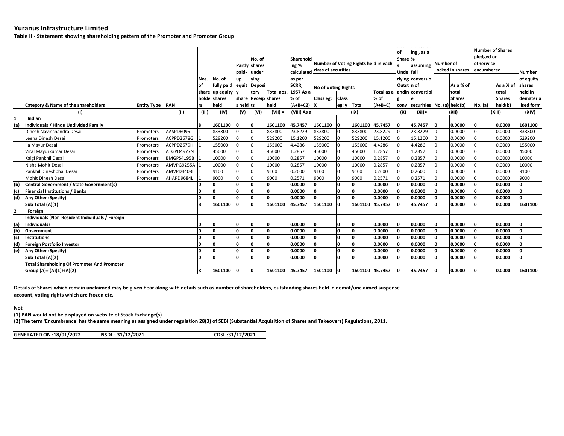|              | lYuranus Infrastructure Limited                                                      |                    |            |          |                 |           |                      |              |                                |                                      |              |                 |             |                |                                 |                  |                         |            |                         |           |
|--------------|--------------------------------------------------------------------------------------|--------------------|------------|----------|-----------------|-----------|----------------------|--------------|--------------------------------|--------------------------------------|--------------|-----------------|-------------|----------------|---------------------------------|------------------|-------------------------|------------|-------------------------|-----------|
|              | Table II - Statement showing shareholding pattern of the Promoter and Promoter Group |                    |            |          |                 |           |                      |              |                                |                                      |              |                 |             |                |                                 |                  |                         |            |                         |           |
|              |                                                                                      |                    |            |          |                 |           |                      |              |                                |                                      |              |                 |             |                |                                 |                  |                         |            |                         |           |
|              |                                                                                      |                    |            |          |                 |           |                      |              |                                |                                      |              |                 |             | lof            | ing, as a                       |                  |                         |            | <b>Number of Shares</b> |           |
|              |                                                                                      |                    |            |          |                 |           | No. of               |              | Sharehold                      |                                      |              |                 |             | Share %        |                                 |                  |                         | pledged or |                         |           |
|              |                                                                                      |                    |            |          |                 |           | <b>Partly shares</b> |              | ing %                          | Number of Voting Rights held in each |              |                 |             |                | assuming                        | <b>Number of</b> |                         | otherwise  |                         |           |
|              |                                                                                      |                    |            |          |                 | paid-     | underl               |              | calculated class of securities |                                      |              |                 |             |                | Unde full                       |                  | <b>Locked in shares</b> | encumbered |                         | Number    |
|              |                                                                                      |                    |            | Nos.     | No. of          | up        | ving                 |              | as per                         |                                      |              |                 |             |                | rlying conversio                |                  |                         |            |                         | of equity |
|              |                                                                                      |                    |            |          | fully paid      | equit     | Deposi               |              | SCRR,                          |                                      |              |                 | Outst In of |                |                                 | As a % of        |                         | As a % of  | shares                  |           |
|              |                                                                                      |                    |            |          | share up equity |           | tory                 | lTotal nos.  | 1957 As a                      | <b>No of Voting Rights</b>           |              | Total as a      |             |                | andin convertibl                |                  | total                   |            | total                   | eld in    |
|              |                                                                                      |                    |            |          | holde shares    |           | share Receip shares  |              | % of                           | Class eg:                            | <b>Class</b> |                 | % of        |                |                                 |                  | <b>Shares</b>           |            | <b>Shares</b>           | demateria |
|              | <b>Category &amp; Name of the shareholders</b>                                       | <b>Entity Type</b> | <b>PAN</b> | rs       | held            | s held ts |                      | held         | $(A+B+C2)$ X                   |                                      | eg: y        | Total           | (A+B+C)     |                | conv securities No. (a) held(b) |                  |                         | No. (a)    | held(b)                 | ised form |
|              | (1)                                                                                  |                    | (11)       | (III)    | (IV)            | (V)       | (VI)                 | $(VII) =$    | (VIII) As a                    |                                      |              | (IX)            |             | (X)            | $(XI) =$                        |                  | (XII)                   |            | (XIII)                  | (XIV)     |
| 1            | Indian                                                                               |                    |            |          |                 |           |                      |              |                                |                                      |              |                 |             |                |                                 |                  |                         |            |                         |           |
| (a)          | <b>Individuals / Hindu Undivided Family</b>                                          |                    |            | R        | 1601100         |           | ١o                   | 1601100      | 45.7457                        | 1601100                              | O            | 1601100 45.7457 |             | ١o             | 45.7457                         | ١o               | 0.0000                  |            | 0.0000                  | 1601100   |
|              | Dinesh Navinchandra Desai                                                            | Promoters          | AASPD6095J |          | 833800          |           | l <sub>0</sub>       | 833800       | 23.8229                        | 833800                               |              | 833800          | 23.8229     | l0             | 23.8229                         |                  | 0.0000                  |            | 0.0000                  | 833800    |
|              | Leena Dinesh Desai                                                                   | Promoters          | ACPPD2678G |          | 529200          |           |                      | 529200       | 15.1200                        | 529200                               |              | 529200          | 15.1200     | l0             | 15.1200                         |                  | 0.0000                  |            | 0.0000                  | 529200    |
|              | Ila Mayur Desai                                                                      | Promoters          | ACPPD2679H |          | 155000          |           |                      | 155000       | 4.4286                         | 155000                               |              | 155000          | 4.4286      | l0             | 4.4286                          |                  | 0.0000                  |            | 0.0000                  | 155000    |
|              | Viral Mayurkumar Desai                                                               | Promoters          | ATGPD4977N |          | 45000           |           |                      | 45000        | 1.2857                         | 45000                                |              | 45000           | 1.2857      | $\Omega$       | L.2857                          | $\Omega$         | 0.0000                  |            | 0.0000                  | 45000     |
|              | Kalgi Pankhil Desai                                                                  | Promoters          | BMGPS4195B |          | 10000           |           | I٥                   | 10000        | 0.2857                         | 10000                                | $\Omega$     | 10000           | 0.2857      | $\Omega$       | 0.2857                          | l0               | 0.0000                  |            | 0.0000                  | 10000     |
|              | Nisha Mohit Desai                                                                    | Promoters          | AMVPG9255A |          | 10000           |           | I٥                   | 10000        | 0.2857                         | 10000                                | $\Omega$     | 10000           | 0.2857      | l <sub>0</sub> | 0.2857                          | l0               | 0.0000                  |            | 0.0000                  | 10000     |
|              | Pankhil Dineshbhai Desai                                                             | Promoters          | AMVPD4408L |          | 9100            |           |                      | 9100         | 0.2600                         | 9100                                 |              | 9100            | 0.2600      | $\Omega$       | 0.2600                          | In               | 0.0000                  |            | 0.0000                  | 9100      |
|              | Mohit Dinesh Desai                                                                   | Promoters          | AHAPD9684L |          | 9000            |           |                      | 9000         | 0.2571                         | 9000                                 |              | 9000            | 0.2571      | l0             | 0.2571                          |                  | 0.0000                  |            | 0.0000                  | 9000      |
| (b)          | Central Government / State Government(s)                                             |                    |            |          | 0               |           | ١o                   | n.           | 0.0000                         | <b>n</b>                             | n            | l0.             | 0.0000      | ١o             | 0.0000                          | In               | 0.0000                  |            | 0.0000                  |           |
| (c)          | <b>Financial Institutions / Banks</b>                                                |                    |            | <b>n</b> | o               | In        | ١o                   | O            | 0.0000                         | <b>n</b>                             | n.           | O               | 0.0000      | I٥             | 0.0000                          |                  | 0.0000                  |            | 0.0000                  |           |
| (d)          | Any Other (Specify)                                                                  |                    |            | l0.      | $\mathbf{0}$    |           | ١o                   | n.           | 0.0000                         | 'n                                   | O.           | n.              | 0.0000      |                | 0.0000                          |                  | 0.0000                  |            | 0.0000                  |           |
|              | Sub Total (A)(1)                                                                     |                    |            | R        | 1601100         |           | ١o                   | 1601100      | 45.7457                        | 1601100                              | <sup>0</sup> | 1601100 45.7457 |             | 'n             | 45.7457                         |                  | 0.0000                  |            | 0.0000                  | 1601100   |
| $\mathbf{z}$ | Foreign                                                                              |                    |            |          |                 |           |                      |              |                                |                                      |              |                 |             |                |                                 |                  |                         |            |                         |           |
|              | Individuals (Non-Resident Individuals / Foreign                                      |                    |            |          |                 |           |                      |              |                                |                                      |              |                 |             |                |                                 |                  |                         |            |                         |           |
| (a)          | Individuals)                                                                         |                    |            |          | 10              |           | 10                   | ۱O           | 0.0000                         | 0                                    | 0            | ın              | 0.0000      | I٥             | 0.0000                          |                  | 0.0000                  |            | 0.0000                  |           |
| (b)          | Government                                                                           |                    |            | <b>n</b> | o               | In        | I٥                   | n.           | 0.0000                         | O                                    | n.           | ln.             | 0.0000      | lo             | 0.0000                          | 'n               | 0.0000                  |            | 0.0000                  |           |
| (c)          | <b>Institutions</b>                                                                  |                    |            | o        | o               | 'n        | ١o                   | O            | 0.0000                         | ١o                                   | O.           | 'n              | 0.0000      | o              | 0.0000                          | <b>l</b>         | 0.0000                  |            | 0.0000                  |           |
| (d)          | Foreign Portfolio Investor                                                           |                    |            | 'n       | O               | 'n        | ١o                   | n.           | 0.0000                         | ١o                                   | O.           | 'n              | 0.0000      | I٥             | 0.0000                          | 'n               | 0.0000                  |            | 0.0000                  |           |
| (e)          | <b>Any Other (Specify)</b>                                                           |                    |            | <b>n</b> | o               | In        | ١o                   | O            | 0.0000                         | $\Omega$                             | n            | n.              | 0.0000      | n              | 0.0000                          | In               | 0.0000                  |            | 0.0000                  |           |
|              | Sub Total (A)(2)                                                                     |                    |            | <b>n</b> | ۱n              | In        | I٥                   | <sup>0</sup> | 0.0000                         | 'n                                   | n.           | l0.             | 0.0000      | I٥             | 0.0000                          |                  | 0.0000                  |            | 0.0000                  | 'n        |
|              | <b>Total Shareholding Of Promoter And Promoter</b>                                   |                    |            |          |                 |           |                      |              |                                |                                      |              |                 |             |                |                                 |                  |                         |            |                         |           |
|              | Group (A)= (A)(1)+(A)(2)                                                             |                    |            | 8        | 1601100         |           |                      | 1601100      | 45.7457                        | 1601100                              |              | 1601100 45.7457 |             | 10             | 45.7457                         |                  | 0.0000                  |            | 0.0000                  | 1601100   |

Details of Shares which remain unclaimed may be given hear along with details such as number of shareholders, outstanding shares held in demat/unclaimed suspense **account, voting rights which are frozen etc.**

**Not**

**(1) PAN would not be displayed on website of Stock Exchange(s)**

(2) The term 'Encumbrance' has the same meaning as assigned under regulation 28(3) of SEBI (Substantial Acquisition of Shares and Takeovers) Regulations, 2011.

**CDSL :31/12/2021 GENERATED ON:18/01/2022 NSDL : 31/12/2021**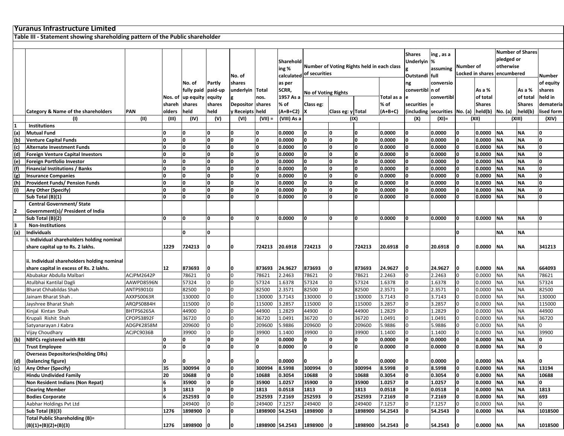## **Yuranus Infrastructure Limited**

**Table III ‐ Statement showing shareholding pattern of the Public shareholder**

| lassuming Number of<br>ing %<br>Locked in shares encumbered<br>calculated of securities<br>Outstandi full<br>Number<br>No. of<br>shares<br>as per<br>conversio<br>No. of<br>Partly<br>of equity<br>ng<br>SCRR,<br>convertibl n of<br>paid-up<br>As a %<br>As a %<br>shares<br>fully paid<br>underlyin  Total<br><b>No of Voting Rights</b><br>1957 As a<br>Total as a<br>convertibl<br>of total<br>of total<br>held in<br>up equity<br>equity<br>Nos. of<br>nos.<br>le<br>% of<br>% of<br><b>Shares</b><br>shares<br>Depositor shares<br>Class eg:<br>securities<br><b>Shares</b><br>demateria<br>shareh<br>shares<br>e<br>$(A+B+C)$<br>(including securities No. (a) held(b)<br>held(b)<br><b>Category &amp; Name of the shareholders</b><br><b>PAN</b><br>olders<br>held<br>held<br>y Receipts held<br>(A+B+C2)  X<br>Class eg: y Total<br>No. (a)<br>lised form<br>(II)<br>(IV)<br>(V)<br>(X)<br>(III)<br>(VI)<br>$(VII) =$<br>(VIII) As a<br>(IX)<br>$(XI) =$<br>(XII)<br>(XIII)<br>(1)<br>(XIV)<br>Institutions<br>1<br>(a)<br><b>Mutual Fund</b><br>I٥<br>0.0000<br>0.0000<br><b>NA</b><br><b>NA</b><br>10<br>0<br>0<br>0.0000<br>0.0000<br>0<br>0<br>I٥<br>(b)<br><b>Venture Capital Funds</b><br>O<br>O<br>I٥<br>0.0000<br>0.0000<br>0.0000<br>١o<br>0.0000<br><b>NA</b><br><b>NA</b><br><sup>0</sup><br>O<br>0<br><b>O</b><br>O<br>١o<br>$\Omega$<br><b>NA</b><br><b>NA</b><br>(c)<br><b>Alternate Investment Funds</b><br>O<br>0.0000<br><b>n</b><br>0.0000<br><b>O</b><br>0.0000<br>١o<br>0.0000<br>١o<br>n<br>I٥<br>O<br>O<br>0.0000<br><b>O</b><br>0.0000<br>١o<br>0<br>0.0000<br><b>NA</b><br><b>NA</b><br><sup>0</sup><br>(d)<br><b>Foreign Venture Capital Investors</b><br>O<br>0<br>0.0000<br>I٥<br><b>NA</b><br>Foreign Portfolio Investor<br>١o<br>O<br>O<br>١o<br>0.0000<br>0.0000<br>0.0000<br>١o<br>0.0000<br><b>NA</b><br><sup>0</sup><br>(e)<br>0<br>O<br>0<br>I٥<br>$\mathbf{0}$<br>I۵<br><b>NA</b><br><b>NA</b><br>(f)<br><b>Financial Institutions / Banks</b><br>O<br>0.0000<br><b>n</b><br>0.0000<br>0.0000<br>١o<br>0.0000<br><sup>0</sup><br>١o<br>I٥<br>$\Omega$<br><b>NA</b><br>(g)<br>I٥<br>O<br>0<br>0.0000<br><b>O</b><br>0.0000<br>١o<br>0<br>0.0000<br><b>NA</b><br><sup>0</sup><br><b>Insurance Companies</b><br>0.0000<br>n<br>I٥<br><b>Provident Funds/ Pension Funds</b><br>O<br>O<br>١o<br>0.0000<br>0.0000<br>0.0000<br>١o<br>0.0000<br><b>NA</b><br><b>NA</b><br><sup>0</sup><br>(h)<br>O<br>0<br>0<br>O |
|--------------------------------------------------------------------------------------------------------------------------------------------------------------------------------------------------------------------------------------------------------------------------------------------------------------------------------------------------------------------------------------------------------------------------------------------------------------------------------------------------------------------------------------------------------------------------------------------------------------------------------------------------------------------------------------------------------------------------------------------------------------------------------------------------------------------------------------------------------------------------------------------------------------------------------------------------------------------------------------------------------------------------------------------------------------------------------------------------------------------------------------------------------------------------------------------------------------------------------------------------------------------------------------------------------------------------------------------------------------------------------------------------------------------------------------------------------------------------------------------------------------------------------------------------------------------------------------------------------------------------------------------------------------------------------------------------------------------------------------------------------------------------------------------------------------------------------------------------------------------------------------------------------------------------------------------------------------------------------------------------------------------------------------------------------------------------------------------------------------------------------------------------------------------------------------------------------------------------------------------------------------------------------------------------------------------------------------------------------------------------------------------------------------------------------------------------------|
|                                                                                                                                                                                                                                                                                                                                                                                                                                                                                                                                                                                                                                                                                                                                                                                                                                                                                                                                                                                                                                                                                                                                                                                                                                                                                                                                                                                                                                                                                                                                                                                                                                                                                                                                                                                                                                                                                                                                                                                                                                                                                                                                                                                                                                                                                                                                                                                                                                                        |
|                                                                                                                                                                                                                                                                                                                                                                                                                                                                                                                                                                                                                                                                                                                                                                                                                                                                                                                                                                                                                                                                                                                                                                                                                                                                                                                                                                                                                                                                                                                                                                                                                                                                                                                                                                                                                                                                                                                                                                                                                                                                                                                                                                                                                                                                                                                                                                                                                                                        |
|                                                                                                                                                                                                                                                                                                                                                                                                                                                                                                                                                                                                                                                                                                                                                                                                                                                                                                                                                                                                                                                                                                                                                                                                                                                                                                                                                                                                                                                                                                                                                                                                                                                                                                                                                                                                                                                                                                                                                                                                                                                                                                                                                                                                                                                                                                                                                                                                                                                        |
|                                                                                                                                                                                                                                                                                                                                                                                                                                                                                                                                                                                                                                                                                                                                                                                                                                                                                                                                                                                                                                                                                                                                                                                                                                                                                                                                                                                                                                                                                                                                                                                                                                                                                                                                                                                                                                                                                                                                                                                                                                                                                                                                                                                                                                                                                                                                                                                                                                                        |
|                                                                                                                                                                                                                                                                                                                                                                                                                                                                                                                                                                                                                                                                                                                                                                                                                                                                                                                                                                                                                                                                                                                                                                                                                                                                                                                                                                                                                                                                                                                                                                                                                                                                                                                                                                                                                                                                                                                                                                                                                                                                                                                                                                                                                                                                                                                                                                                                                                                        |
|                                                                                                                                                                                                                                                                                                                                                                                                                                                                                                                                                                                                                                                                                                                                                                                                                                                                                                                                                                                                                                                                                                                                                                                                                                                                                                                                                                                                                                                                                                                                                                                                                                                                                                                                                                                                                                                                                                                                                                                                                                                                                                                                                                                                                                                                                                                                                                                                                                                        |
|                                                                                                                                                                                                                                                                                                                                                                                                                                                                                                                                                                                                                                                                                                                                                                                                                                                                                                                                                                                                                                                                                                                                                                                                                                                                                                                                                                                                                                                                                                                                                                                                                                                                                                                                                                                                                                                                                                                                                                                                                                                                                                                                                                                                                                                                                                                                                                                                                                                        |
|                                                                                                                                                                                                                                                                                                                                                                                                                                                                                                                                                                                                                                                                                                                                                                                                                                                                                                                                                                                                                                                                                                                                                                                                                                                                                                                                                                                                                                                                                                                                                                                                                                                                                                                                                                                                                                                                                                                                                                                                                                                                                                                                                                                                                                                                                                                                                                                                                                                        |
|                                                                                                                                                                                                                                                                                                                                                                                                                                                                                                                                                                                                                                                                                                                                                                                                                                                                                                                                                                                                                                                                                                                                                                                                                                                                                                                                                                                                                                                                                                                                                                                                                                                                                                                                                                                                                                                                                                                                                                                                                                                                                                                                                                                                                                                                                                                                                                                                                                                        |
|                                                                                                                                                                                                                                                                                                                                                                                                                                                                                                                                                                                                                                                                                                                                                                                                                                                                                                                                                                                                                                                                                                                                                                                                                                                                                                                                                                                                                                                                                                                                                                                                                                                                                                                                                                                                                                                                                                                                                                                                                                                                                                                                                                                                                                                                                                                                                                                                                                                        |
|                                                                                                                                                                                                                                                                                                                                                                                                                                                                                                                                                                                                                                                                                                                                                                                                                                                                                                                                                                                                                                                                                                                                                                                                                                                                                                                                                                                                                                                                                                                                                                                                                                                                                                                                                                                                                                                                                                                                                                                                                                                                                                                                                                                                                                                                                                                                                                                                                                                        |
|                                                                                                                                                                                                                                                                                                                                                                                                                                                                                                                                                                                                                                                                                                                                                                                                                                                                                                                                                                                                                                                                                                                                                                                                                                                                                                                                                                                                                                                                                                                                                                                                                                                                                                                                                                                                                                                                                                                                                                                                                                                                                                                                                                                                                                                                                                                                                                                                                                                        |
|                                                                                                                                                                                                                                                                                                                                                                                                                                                                                                                                                                                                                                                                                                                                                                                                                                                                                                                                                                                                                                                                                                                                                                                                                                                                                                                                                                                                                                                                                                                                                                                                                                                                                                                                                                                                                                                                                                                                                                                                                                                                                                                                                                                                                                                                                                                                                                                                                                                        |
|                                                                                                                                                                                                                                                                                                                                                                                                                                                                                                                                                                                                                                                                                                                                                                                                                                                                                                                                                                                                                                                                                                                                                                                                                                                                                                                                                                                                                                                                                                                                                                                                                                                                                                                                                                                                                                                                                                                                                                                                                                                                                                                                                                                                                                                                                                                                                                                                                                                        |
|                                                                                                                                                                                                                                                                                                                                                                                                                                                                                                                                                                                                                                                                                                                                                                                                                                                                                                                                                                                                                                                                                                                                                                                                                                                                                                                                                                                                                                                                                                                                                                                                                                                                                                                                                                                                                                                                                                                                                                                                                                                                                                                                                                                                                                                                                                                                                                                                                                                        |
|                                                                                                                                                                                                                                                                                                                                                                                                                                                                                                                                                                                                                                                                                                                                                                                                                                                                                                                                                                                                                                                                                                                                                                                                                                                                                                                                                                                                                                                                                                                                                                                                                                                                                                                                                                                                                                                                                                                                                                                                                                                                                                                                                                                                                                                                                                                                                                                                                                                        |
| ١o<br>O<br><b>NA</b><br><b>NA</b><br>Any Other (Specify)<br>O<br>0.0000<br>0.0000<br>0.0000<br>0.0000<br>(i)<br>O<br>١o<br>n<br>0<br>O                                                                                                                                                                                                                                                                                                                                                                                                                                                                                                                                                                                                                                                                                                                                                                                                                                                                                                                                                                                                                                                                                                                                                                                                                                                                                                                                                                                                                                                                                                                                                                                                                                                                                                                                                                                                                                                                                                                                                                                                                                                                                                                                                                                                                                                                                                                 |
| I٥<br>$\mathbf{0}$<br><b>NA</b><br>Sub Total (B)(1)<br>O<br>0.0000<br>0.0000<br>O<br>0.0000<br><b>NA</b><br><sup>0</sup><br>$\Omega$<br>$\Omega$<br>O<br>0.0000<br>n<br>n                                                                                                                                                                                                                                                                                                                                                                                                                                                                                                                                                                                                                                                                                                                                                                                                                                                                                                                                                                                                                                                                                                                                                                                                                                                                                                                                                                                                                                                                                                                                                                                                                                                                                                                                                                                                                                                                                                                                                                                                                                                                                                                                                                                                                                                                              |
| <b>Central Government/ State</b>                                                                                                                                                                                                                                                                                                                                                                                                                                                                                                                                                                                                                                                                                                                                                                                                                                                                                                                                                                                                                                                                                                                                                                                                                                                                                                                                                                                                                                                                                                                                                                                                                                                                                                                                                                                                                                                                                                                                                                                                                                                                                                                                                                                                                                                                                                                                                                                                                       |
| Government(s)/ President of India                                                                                                                                                                                                                                                                                                                                                                                                                                                                                                                                                                                                                                                                                                                                                                                                                                                                                                                                                                                                                                                                                                                                                                                                                                                                                                                                                                                                                                                                                                                                                                                                                                                                                                                                                                                                                                                                                                                                                                                                                                                                                                                                                                                                                                                                                                                                                                                                                      |
| l٥<br>I٥<br>Sub Total (B)(2)<br>O<br>O<br>0.0000<br>0<br><b>NA</b><br><b>NA</b><br>١o<br>0.0000<br>١o<br>0.0000<br>0.0000                                                                                                                                                                                                                                                                                                                                                                                                                                                                                                                                                                                                                                                                                                                                                                                                                                                                                                                                                                                                                                                                                                                                                                                                                                                                                                                                                                                                                                                                                                                                                                                                                                                                                                                                                                                                                                                                                                                                                                                                                                                                                                                                                                                                                                                                                                                              |
| 3<br><b>Non-Institutions</b>                                                                                                                                                                                                                                                                                                                                                                                                                                                                                                                                                                                                                                                                                                                                                                                                                                                                                                                                                                                                                                                                                                                                                                                                                                                                                                                                                                                                                                                                                                                                                                                                                                                                                                                                                                                                                                                                                                                                                                                                                                                                                                                                                                                                                                                                                                                                                                                                                           |
| (a)<br><b>Individuals</b><br><b>NA</b><br><b>NA</b><br>$\Omega$<br>O<br>0                                                                                                                                                                                                                                                                                                                                                                                                                                                                                                                                                                                                                                                                                                                                                                                                                                                                                                                                                                                                                                                                                                                                                                                                                                                                                                                                                                                                                                                                                                                                                                                                                                                                                                                                                                                                                                                                                                                                                                                                                                                                                                                                                                                                                                                                                                                                                                              |
| i. Individual shareholders holding nominal                                                                                                                                                                                                                                                                                                                                                                                                                                                                                                                                                                                                                                                                                                                                                                                                                                                                                                                                                                                                                                                                                                                                                                                                                                                                                                                                                                                                                                                                                                                                                                                                                                                                                                                                                                                                                                                                                                                                                                                                                                                                                                                                                                                                                                                                                                                                                                                                             |
| 724213<br>20.6918<br>share capital up to Rs. 2 lakhs.<br>1229<br>724213<br>0<br>724213<br>20.6918<br>724213<br>20.6918<br>0.0000<br><b>NA</b><br><b>NA</b><br>341213<br>n                                                                                                                                                                                                                                                                                                                                                                                                                                                                                                                                                                                                                                                                                                                                                                                                                                                                                                                                                                                                                                                                                                                                                                                                                                                                                                                                                                                                                                                                                                                                                                                                                                                                                                                                                                                                                                                                                                                                                                                                                                                                                                                                                                                                                                                                              |
|                                                                                                                                                                                                                                                                                                                                                                                                                                                                                                                                                                                                                                                                                                                                                                                                                                                                                                                                                                                                                                                                                                                                                                                                                                                                                                                                                                                                                                                                                                                                                                                                                                                                                                                                                                                                                                                                                                                                                                                                                                                                                                                                                                                                                                                                                                                                                                                                                                                        |
| ii. Individual shareholders holding nominal                                                                                                                                                                                                                                                                                                                                                                                                                                                                                                                                                                                                                                                                                                                                                                                                                                                                                                                                                                                                                                                                                                                                                                                                                                                                                                                                                                                                                                                                                                                                                                                                                                                                                                                                                                                                                                                                                                                                                                                                                                                                                                                                                                                                                                                                                                                                                                                                            |
| share capital in excess of Rs. 2 lakhs.<br>12<br>873693<br>24.9627<br>873693<br>873693<br>24.9627<br>24.9627<br>0.0000<br><b>NA</b><br>0<br>873693<br>0<br><b>NA</b><br>664093<br>ח                                                                                                                                                                                                                                                                                                                                                                                                                                                                                                                                                                                                                                                                                                                                                                                                                                                                                                                                                                                                                                                                                                                                                                                                                                                                                                                                                                                                                                                                                                                                                                                                                                                                                                                                                                                                                                                                                                                                                                                                                                                                                                                                                                                                                                                                    |
| 78621<br>2.2463<br>78621<br>78621<br>2.2463<br>2.2463<br><b>NA</b><br>Abubakar Abdulla Malbari<br>ACJPM2642P<br>$\Omega$<br>78621<br>0.0000<br><b>NA</b><br>78621                                                                                                                                                                                                                                                                                                                                                                                                                                                                                                                                                                                                                                                                                                                                                                                                                                                                                                                                                                                                                                                                                                                                                                                                                                                                                                                                                                                                                                                                                                                                                                                                                                                                                                                                                                                                                                                                                                                                                                                                                                                                                                                                                                                                                                                                                      |
| 57324<br>Atulbhai Kantilal Dagli<br>AAWPD8596N<br>57324<br>0<br>$\Omega$<br>57324<br>1.6378<br>57324<br>1.6378<br>1.6378<br>0.0000<br><b>NA</b><br><b>NA</b><br>57324<br>0                                                                                                                                                                                                                                                                                                                                                                                                                                                                                                                                                                                                                                                                                                                                                                                                                                                                                                                                                                                                                                                                                                                                                                                                                                                                                                                                                                                                                                                                                                                                                                                                                                                                                                                                                                                                                                                                                                                                                                                                                                                                                                                                                                                                                                                                             |
| 82500<br>2.3571<br><b>NA</b><br><b>Bharat Chhabildas Shah</b><br>82500<br>$\Omega$<br>82500<br>2.3571<br>82500<br>2.3571<br>l0<br>0.0000<br><b>NA</b><br>82500<br>ANTPS9010J<br>$\Omega$                                                                                                                                                                                                                                                                                                                                                                                                                                                                                                                                                                                                                                                                                                                                                                                                                                                                                                                                                                                                                                                                                                                                                                                                                                                                                                                                                                                                                                                                                                                                                                                                                                                                                                                                                                                                                                                                                                                                                                                                                                                                                                                                                                                                                                                               |
| 130000<br>3.7143<br><b>NA</b><br>Jainam Bharat Shah<br>AXXPS0063R<br>130000<br>130000<br>3.7143<br>130000<br>3.7143<br>0.0000<br>130000<br>lo<br>ΝA                                                                                                                                                                                                                                                                                                                                                                                                                                                                                                                                                                                                                                                                                                                                                                                                                                                                                                                                                                                                                                                                                                                                                                                                                                                                                                                                                                                                                                                                                                                                                                                                                                                                                                                                                                                                                                                                                                                                                                                                                                                                                                                                                                                                                                                                                                    |
| 3.2857<br>115000<br>3.2857<br>3.2857<br><b>NA</b><br>Jayshree Bharat Shah<br>ARQPS0884H<br>115000<br>115000<br>115000<br>0.0000<br><b>NA</b><br>115000<br>$\overline{0}$                                                                                                                                                                                                                                                                                                                                                                                                                                                                                                                                                                                                                                                                                                                                                                                                                                                                                                                                                                                                                                                                                                                                                                                                                                                                                                                                                                                                                                                                                                                                                                                                                                                                                                                                                                                                                                                                                                                                                                                                                                                                                                                                                                                                                                                                               |
| 44900<br><b>NA</b><br>Kinjal Kintan Shah<br>BHTPS6265A<br>44900<br>1.2829<br>44900<br>44900<br>1.2829<br>1.2829<br>0.0000<br><b>NA</b><br>44900<br>$\Omega$<br>$\overline{0}$                                                                                                                                                                                                                                                                                                                                                                                                                                                                                                                                                                                                                                                                                                                                                                                                                                                                                                                                                                                                                                                                                                                                                                                                                                                                                                                                                                                                                                                                                                                                                                                                                                                                                                                                                                                                                                                                                                                                                                                                                                                                                                                                                                                                                                                                          |
| 36720<br>36720<br>1.0491<br>Krupali Rishit Shah<br>CPOPS3892F<br>36720<br>L.0491<br>36720<br>1.0491<br>0.0000<br><b>NA</b><br><b>NA</b><br>36720                                                                                                                                                                                                                                                                                                                                                                                                                                                                                                                                                                                                                                                                                                                                                                                                                                                                                                                                                                                                                                                                                                                                                                                                                                                                                                                                                                                                                                                                                                                                                                                                                                                                                                                                                                                                                                                                                                                                                                                                                                                                                                                                                                                                                                                                                                       |
| 5.9886<br><b>NA</b><br>ADGPK2858M<br>209600<br>I٥<br>$\Omega$<br>209600<br>5.9886<br>209600<br>209600<br>5.9886<br>0.0000<br><b>NA</b><br>Satyanarayan J Kabra<br>$\overline{0}$                                                                                                                                                                                                                                                                                                                                                                                                                                                                                                                                                                                                                                                                                                                                                                                                                                                                                                                                                                                                                                                                                                                                                                                                                                                                                                                                                                                                                                                                                                                                                                                                                                                                                                                                                                                                                                                                                                                                                                                                                                                                                                                                                                                                                                                                       |
| <b>NA</b><br>39900<br>$\Omega$<br>39900<br>1.1400<br>39900<br>39900<br>1.1400<br>1.1400<br>0.0000<br><b>NA</b><br>39900<br>Vijay Choudhary<br>ACJPC9036B<br>$\Omega$                                                                                                                                                                                                                                                                                                                                                                                                                                                                                                                                                                                                                                                                                                                                                                                                                                                                                                                                                                                                                                                                                                                                                                                                                                                                                                                                                                                                                                                                                                                                                                                                                                                                                                                                                                                                                                                                                                                                                                                                                                                                                                                                                                                                                                                                                   |
| <b>NBFCs registered with RBI</b><br>O<br>١o<br>O<br>١o<br>0.0000<br>0.0000<br>0.0000<br>0<br>0.0000<br><b>NA</b><br><b>NA</b><br>(b)<br>O<br>$\Omega$<br>n                                                                                                                                                                                                                                                                                                                                                                                                                                                                                                                                                                                                                                                                                                                                                                                                                                                                                                                                                                                                                                                                                                                                                                                                                                                                                                                                                                                                                                                                                                                                                                                                                                                                                                                                                                                                                                                                                                                                                                                                                                                                                                                                                                                                                                                                                             |
| $\mathbf{0}$<br>١o<br><b>NA</b><br><b>NA</b><br>n<br>O<br>0.0000<br>O<br>$\mathbf{0}$<br>0.0000<br>0.0000<br>0<br>0.0000<br><sup>0</sup><br><b>Trust Employee</b><br>١o                                                                                                                                                                                                                                                                                                                                                                                                                                                                                                                                                                                                                                                                                                                                                                                                                                                                                                                                                                                                                                                                                                                                                                                                                                                                                                                                                                                                                                                                                                                                                                                                                                                                                                                                                                                                                                                                                                                                                                                                                                                                                                                                                                                                                                                                                |
| <b>Overseas Depositories (holding DRs)</b>                                                                                                                                                                                                                                                                                                                                                                                                                                                                                                                                                                                                                                                                                                                                                                                                                                                                                                                                                                                                                                                                                                                                                                                                                                                                                                                                                                                                                                                                                                                                                                                                                                                                                                                                                                                                                                                                                                                                                                                                                                                                                                                                                                                                                                                                                                                                                                                                             |
| (d)<br>(balancing figure)<br>0.0000<br>0.0000<br>0.0000<br>0.0000<br><b>NA</b><br>O<br>0<br>O<br><b>NA</b><br>O<br>۱O                                                                                                                                                                                                                                                                                                                                                                                                                                                                                                                                                                                                                                                                                                                                                                                                                                                                                                                                                                                                                                                                                                                                                                                                                                                                                                                                                                                                                                                                                                                                                                                                                                                                                                                                                                                                                                                                                                                                                                                                                                                                                                                                                                                                                                                                                                                                  |
| (c)<br><b>NA</b><br>35<br>I٥<br>O<br>300994<br>300994<br>I٥<br>I٥<br><b>NA</b><br>13194<br>Any Other (Specify)<br>300994<br>300994<br>8.5998<br>8.5998<br>8.5998<br>0.0000<br>١n                                                                                                                                                                                                                                                                                                                                                                                                                                                                                                                                                                                                                                                                                                                                                                                                                                                                                                                                                                                                                                                                                                                                                                                                                                                                                                                                                                                                                                                                                                                                                                                                                                                                                                                                                                                                                                                                                                                                                                                                                                                                                                                                                                                                                                                                       |
| 20<br>0.0000 NA<br>١o<br>0<br>O<br>10<br><b>Hindu Undivided Family</b><br>10688<br>10688<br>0.3054<br>10688<br>0<br>10688<br>0.3054<br>0.3054<br><b>NA</b><br>10688                                                                                                                                                                                                                                                                                                                                                                                                                                                                                                                                                                                                                                                                                                                                                                                                                                                                                                                                                                                                                                                                                                                                                                                                                                                                                                                                                                                                                                                                                                                                                                                                                                                                                                                                                                                                                                                                                                                                                                                                                                                                                                                                                                                                                                                                                    |
| 0<br>35900<br>1.0257<br>Non Resident Indians (Non Repat)<br>6<br>35900<br>O<br>35900<br>1.0257<br>35900<br>١o<br>1.0257<br>0.0000<br><b>NA</b><br><b>NA</b>                                                                                                                                                                                                                                                                                                                                                                                                                                                                                                                                                                                                                                                                                                                                                                                                                                                                                                                                                                                                                                                                                                                                                                                                                                                                                                                                                                                                                                                                                                                                                                                                                                                                                                                                                                                                                                                                                                                                                                                                                                                                                                                                                                                                                                                                                            |
| lз<br>o<br>1813<br>O<br><b>NA</b><br><b>Clearing Member</b><br>1813<br>0.0518<br>1813<br>1813<br>0.0518<br>١o<br>0.0518<br>10<br>0.0000<br><b>NA</b><br>1813<br>0                                                                                                                                                                                                                                                                                                                                                                                                                                                                                                                                                                                                                                                                                                                                                                                                                                                                                                                                                                                                                                                                                                                                                                                                                                                                                                                                                                                                                                                                                                                                                                                                                                                                                                                                                                                                                                                                                                                                                                                                                                                                                                                                                                                                                                                                                      |
| 6<br>252593<br>$\mathbf{0}$<br>0<br><b>Bodies Corporate</b><br>252593<br>7.2169<br>252593<br>0<br>252593<br>7.2169<br>0<br>10<br>0.0000<br><b>NA</b><br><b>NA</b><br>693<br>7.2169                                                                                                                                                                                                                                                                                                                                                                                                                                                                                                                                                                                                                                                                                                                                                                                                                                                                                                                                                                                                                                                                                                                                                                                                                                                                                                                                                                                                                                                                                                                                                                                                                                                                                                                                                                                                                                                                                                                                                                                                                                                                                                                                                                                                                                                                     |
| 249400<br>7.1257<br>Aabhar Holdings Pvt Ltd<br>0<br>249400<br>249400<br>249400<br>$\overline{0}$<br>7.1257<br>$\overline{0}$<br>0.0000<br><b>NA</b><br><b>NA</b><br>$\overline{0}$<br>0<br>7.1257                                                                                                                                                                                                                                                                                                                                                                                                                                                                                                                                                                                                                                                                                                                                                                                                                                                                                                                                                                                                                                                                                                                                                                                                                                                                                                                                                                                                                                                                                                                                                                                                                                                                                                                                                                                                                                                                                                                                                                                                                                                                                                                                                                                                                                                      |
| 1898900 0<br>Sub Total (B)(3)<br>1276<br>0<br>1898900 54.2543<br>1898900<br>1898900<br>54.2543<br>O<br>54.2543<br>١o<br>0.0000<br><b>NA</b><br><b>NA</b><br>10<br>1018500                                                                                                                                                                                                                                                                                                                                                                                                                                                                                                                                                                                                                                                                                                                                                                                                                                                                                                                                                                                                                                                                                                                                                                                                                                                                                                                                                                                                                                                                                                                                                                                                                                                                                                                                                                                                                                                                                                                                                                                                                                                                                                                                                                                                                                                                              |
| <b>Total Public Shareholding (B)=</b>                                                                                                                                                                                                                                                                                                                                                                                                                                                                                                                                                                                                                                                                                                                                                                                                                                                                                                                                                                                                                                                                                                                                                                                                                                                                                                                                                                                                                                                                                                                                                                                                                                                                                                                                                                                                                                                                                                                                                                                                                                                                                                                                                                                                                                                                                                                                                                                                                  |
| 1898900 0<br>0<br>$(B)(1)+(B)(2)+(B)(3)$<br>1276<br>1898900 54.2543<br>1898900 0<br>1898900 54.2543<br>54.2543<br>0.0000 NA<br>10<br><b>NA</b><br>1018500<br>10                                                                                                                                                                                                                                                                                                                                                                                                                                                                                                                                                                                                                                                                                                                                                                                                                                                                                                                                                                                                                                                                                                                                                                                                                                                                                                                                                                                                                                                                                                                                                                                                                                                                                                                                                                                                                                                                                                                                                                                                                                                                                                                                                                                                                                                                                        |

**No.of** **Sharehold**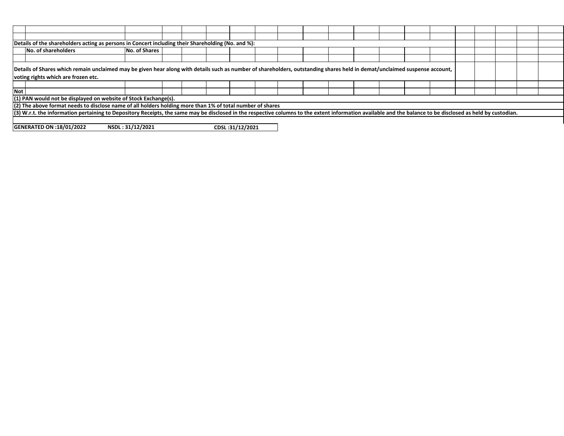|                                                                        | Details of the shareholders acting as persons in Concert including their Shareholding (No. and %):                                                                                                                |                      |  |  |  |  |  |  |  |  |  |  |  |  |  |  |  |  |
|------------------------------------------------------------------------|-------------------------------------------------------------------------------------------------------------------------------------------------------------------------------------------------------------------|----------------------|--|--|--|--|--|--|--|--|--|--|--|--|--|--|--|--|
|                                                                        | No. of shareholders                                                                                                                                                                                               | <b>No. of Shares</b> |  |  |  |  |  |  |  |  |  |  |  |  |  |  |  |  |
|                                                                        |                                                                                                                                                                                                                   |                      |  |  |  |  |  |  |  |  |  |  |  |  |  |  |  |  |
|                                                                        | Details of Shares which remain unclaimed may be given hear along with details such as number of shareholders, outstanding shares held in demat/unclaimed suspense account,<br>voting rights which are frozen etc. |                      |  |  |  |  |  |  |  |  |  |  |  |  |  |  |  |  |
|                                                                        |                                                                                                                                                                                                                   |                      |  |  |  |  |  |  |  |  |  |  |  |  |  |  |  |  |
| <b>Not</b>                                                             |                                                                                                                                                                                                                   |                      |  |  |  |  |  |  |  |  |  |  |  |  |  |  |  |  |
|                                                                        | (1) PAN would not be displayed on website of Stock Exchange(s).                                                                                                                                                   |                      |  |  |  |  |  |  |  |  |  |  |  |  |  |  |  |  |
|                                                                        | (2) The above format needs to disclose name of all holders holding more than 1% of total number of shares                                                                                                         |                      |  |  |  |  |  |  |  |  |  |  |  |  |  |  |  |  |
|                                                                        | (3) W.r.t. the information pertaining to Depository Receipts, the same may be disclosed in the respective columns to the extent information available and the balance to be disclosed as held by custodian.       |                      |  |  |  |  |  |  |  |  |  |  |  |  |  |  |  |  |
|                                                                        |                                                                                                                                                                                                                   |                      |  |  |  |  |  |  |  |  |  |  |  |  |  |  |  |  |
| NSDL: 31/12/2021<br>CDSL:31/12/2021<br><b>GENERATED ON :18/01/2022</b> |                                                                                                                                                                                                                   |                      |  |  |  |  |  |  |  |  |  |  |  |  |  |  |  |  |